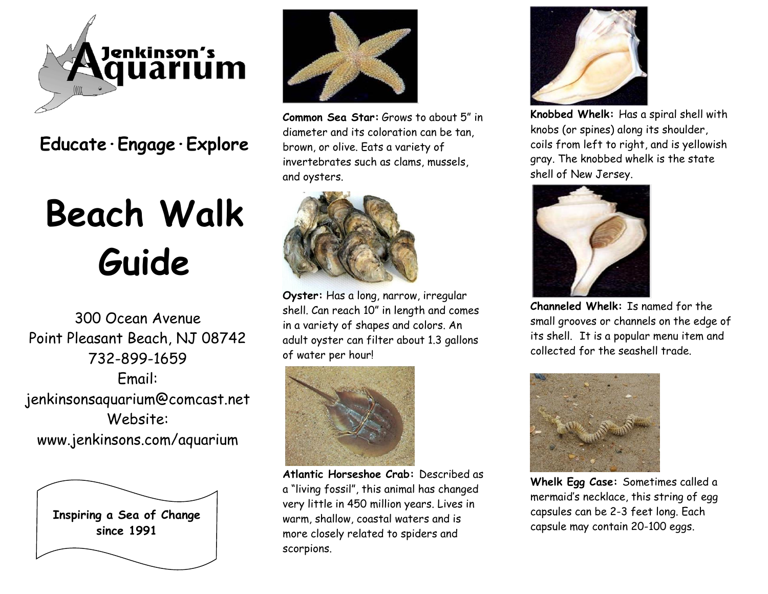

**Educate·Engage·Explore**

## **Beach Walk Guide**

300 Ocean Avenue Point Pleasant Beach, NJ 08742 732-899-1659 Email: jenkinsonsaquarium@comcast.net Website: www.jenkinsons.com/aquarium





**Common Sea Star:** Grows to about 5" in diameter and its coloration can be tan, brown, or olive. Eats a variety of invertebrates such as clams, mussels, and oysters.



**Oyster:** Has a long, narrow, irregular shell. Can reach 10" in length and comes in a variety of shapes and colors. An adult oyster can filter about 1.3 gallons of water per hour!



**Atlantic Horseshoe Crab:** Described as a "living fossil", this animal has changed very little in 450 million years. Lives in warm, shallow, coastal waters and is more closely related to spiders and scorpions.



**Knobbed Whelk:** Has a spiral shell with knobs (or spines) along its shoulder, coils from left to right, and is yellowish gray. The knobbed whelk is the state shell of New Jersey.



**Channeled Whelk:** Is named for the small grooves or channels on the edge of its shell. It is a popular menu item and collected for the seashell trade.



**Whelk Egg Case:** Sometimes called a mermaid's necklace, this string of egg capsules can be 2-3 feet long. Each capsule may contain 20-100 eggs.